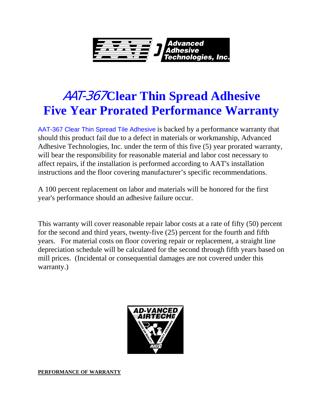

## AAT-367 **Clear Thin Spread Adhesive Five Year Prorated Performance Warranty**

AAT-367 Clear Thin Spread Tile Adhesive is backed by a performance warranty that should this product fail due to a defect in materials or workmanship, Advanced Adhesive Technologies, Inc. under the term of this five (5) year prorated warranty, will bear the responsibility for reasonable material and labor cost necessary to affect repairs, if the installation is performed according to AAT's installation instructions and the floor covering manufacturer's specific recommendations.

A 100 percent replacement on labor and materials will be honored for the first year's performance should an adhesive failure occur.

This warranty will cover reasonable repair labor costs at a rate of fifty (50) percent for the second and third years, twenty-five (25) percent for the fourth and fifth years. For material costs on floor covering repair or replacement, a straight line depreciation schedule will be calculated for the second through fifth years based on mill prices. (Incidental or consequential damages are not covered under this warranty.)



**PERFORMANCE OF WARRANTY**